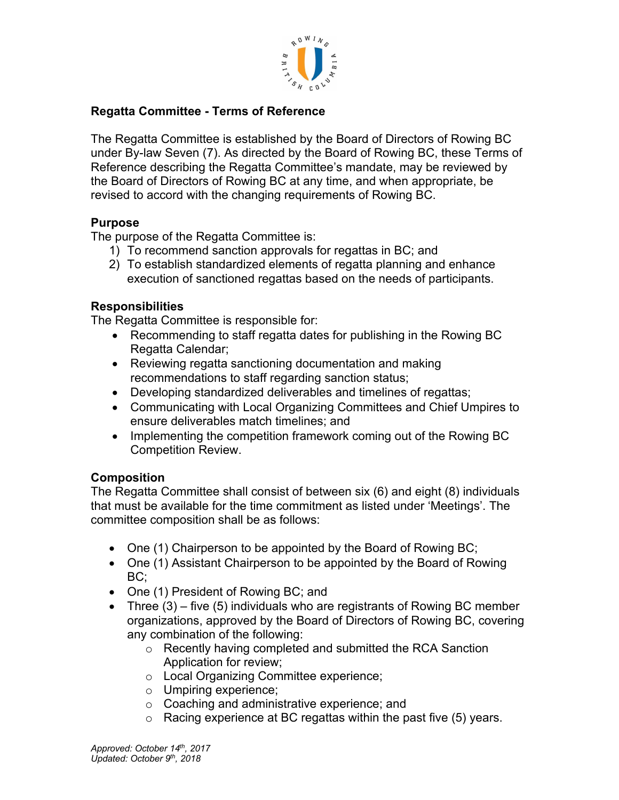

# **Regatta Committee - Terms of Reference**

The Regatta Committee is established by the Board of Directors of Rowing BC under By-law Seven (7). As directed by the Board of Rowing BC, these Terms of Reference describing the Regatta Committee's mandate, may be reviewed by the Board of Directors of Rowing BC at any time, and when appropriate, be revised to accord with the changing requirements of Rowing BC.

## **Purpose**

The purpose of the Regatta Committee is:

- 1) To recommend sanction approvals for regattas in BC; and
- 2) To establish standardized elements of regatta planning and enhance execution of sanctioned regattas based on the needs of participants.

## **Responsibilities**

The Regatta Committee is responsible for:

- Recommending to staff regatta dates for publishing in the Rowing BC Regatta Calendar;
- Reviewing regatta sanctioning documentation and making recommendations to staff regarding sanction status;
- Developing standardized deliverables and timelines of regattas;
- Communicating with Local Organizing Committees and Chief Umpires to ensure deliverables match timelines; and
- Implementing the competition framework coming out of the Rowing BC Competition Review.

# **Composition**

The Regatta Committee shall consist of between six (6) and eight (8) individuals that must be available for the time commitment as listed under 'Meetings'. The committee composition shall be as follows:

- One (1) Chairperson to be appointed by the Board of Rowing BC;
- One (1) Assistant Chairperson to be appointed by the Board of Rowing BC;
- One (1) President of Rowing BC; and
- Three (3) five (5) individuals who are registrants of Rowing BC member organizations, approved by the Board of Directors of Rowing BC, covering any combination of the following:
	- o Recently having completed and submitted the RCA Sanction Application for review;
	- o Local Organizing Committee experience;
	- o Umpiring experience;
	- o Coaching and administrative experience; and
	- o Racing experience at BC regattas within the past five (5) years.